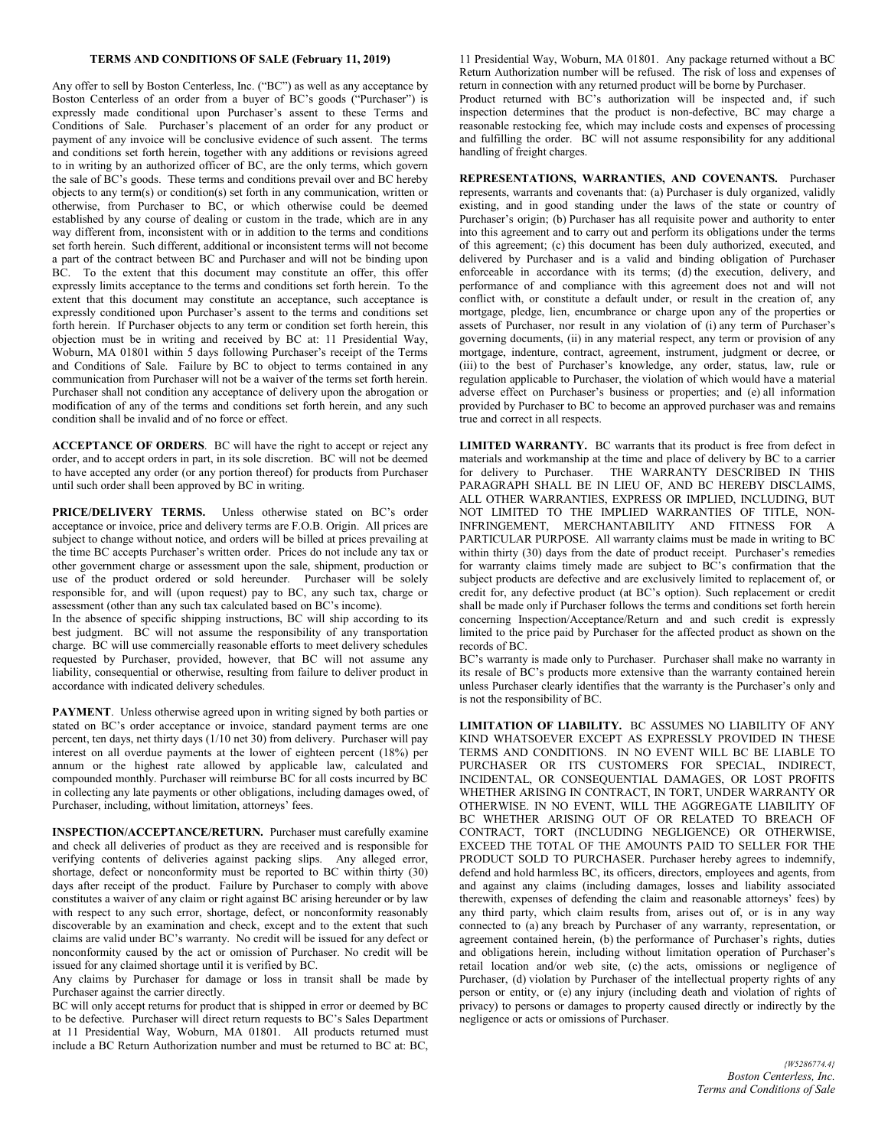## **TERMS AND CONDITIONS OF SALE (February 11, 2019)**

Any offer to sell by Boston Centerless, Inc. ("BC") as well as any acceptance by Boston Centerless of an order from a buyer of BC's goods ("Purchaser") is expressly made conditional upon Purchaser's assent to these Terms and Conditions of Sale. Purchaser's placement of an order for any product or payment of any invoice will be conclusive evidence of such assent. The terms and conditions set forth herein, together with any additions or revisions agreed to in writing by an authorized officer of BC, are the only terms, which govern the sale of BC's goods. These terms and conditions prevail over and BC hereby objects to any term(s) or condition(s) set forth in any communication, written or otherwise, from Purchaser to BC, or which otherwise could be deemed established by any course of dealing or custom in the trade, which are in any way different from, inconsistent with or in addition to the terms and conditions set forth herein. Such different, additional or inconsistent terms will not become a part of the contract between BC and Purchaser and will not be binding upon BC. To the extent that this document may constitute an offer, this offer expressly limits acceptance to the terms and conditions set forth herein. To the extent that this document may constitute an acceptance, such acceptance is expressly conditioned upon Purchaser's assent to the terms and conditions set forth herein. If Purchaser objects to any term or condition set forth herein, this objection must be in writing and received by BC at: 11 Presidential Way, Woburn, MA 01801 within 5 days following Purchaser's receipt of the Terms and Conditions of Sale. Failure by BC to object to terms contained in any communication from Purchaser will not be a waiver of the terms set forth herein. Purchaser shall not condition any acceptance of delivery upon the abrogation or modification of any of the terms and conditions set forth herein, and any such condition shall be invalid and of no force or effect.

**ACCEPTANCE OF ORDERS**. BC will have the right to accept or reject any order, and to accept orders in part, in its sole discretion. BC will not be deemed to have accepted any order (or any portion thereof) for products from Purchaser until such order shall been approved by BC in writing.

**PRICE/DELIVERY TERMS.** Unless otherwise stated on BC's order acceptance or invoice, price and delivery terms are F.O.B. Origin. All prices are subject to change without notice, and orders will be billed at prices prevailing at the time BC accepts Purchaser's written order. Prices do not include any tax or other government charge or assessment upon the sale, shipment, production or use of the product ordered or sold hereunder. Purchaser will be solely responsible for, and will (upon request) pay to BC, any such tax, charge or assessment (other than any such tax calculated based on BC's income).

In the absence of specific shipping instructions, BC will ship according to its best judgment. BC will not assume the responsibility of any transportation charge. BC will use commercially reasonable efforts to meet delivery schedules requested by Purchaser, provided, however, that BC will not assume any liability, consequential or otherwise, resulting from failure to deliver product in accordance with indicated delivery schedules.

**PAYMENT**. Unless otherwise agreed upon in writing signed by both parties or stated on BC's order acceptance or invoice, standard payment terms are one percent, ten days, net thirty days (1/10 net 30) from delivery. Purchaser will pay interest on all overdue payments at the lower of eighteen percent (18%) per annum or the highest rate allowed by applicable law, calculated and compounded monthly. Purchaser will reimburse BC for all costs incurred by BC in collecting any late payments or other obligations, including damages owed, of Purchaser, including, without limitation, attorneys' fees.

**INSPECTION/ACCEPTANCE/RETURN.** Purchaser must carefully examine and check all deliveries of product as they are received and is responsible for verifying contents of deliveries against packing slips. Any alleged error, shortage, defect or nonconformity must be reported to BC within thirty (30) days after receipt of the product. Failure by Purchaser to comply with above constitutes a waiver of any claim or right against BC arising hereunder or by law with respect to any such error, shortage, defect, or nonconformity reasonably discoverable by an examination and check, except and to the extent that such claims are valid under BC's warranty. No credit will be issued for any defect or nonconformity caused by the act or omission of Purchaser. No credit will be issued for any claimed shortage until it is verified by BC.

Any claims by Purchaser for damage or loss in transit shall be made by Purchaser against the carrier directly.

BC will only accept returns for product that is shipped in error or deemed by BC to be defective. Purchaser will direct return requests to BC's Sales Department at 11 Presidential Way, Woburn, MA 01801. All products returned must include a BC Return Authorization number and must be returned to BC at: BC,

11 Presidential Way, Woburn, MA 01801. Any package returned without a BC Return Authorization number will be refused. The risk of loss and expenses of return in connection with any returned product will be borne by Purchaser.

Product returned with BC's authorization will be inspected and, if such inspection determines that the product is non-defective, BC may charge a reasonable restocking fee, which may include costs and expenses of processing and fulfilling the order. BC will not assume responsibility for any additional handling of freight charges.

**REPRESENTATIONS, WARRANTIES, AND COVENANTS.** Purchaser represents, warrants and covenants that: (a) Purchaser is duly organized, validly existing, and in good standing under the laws of the state or country of Purchaser's origin; (b) Purchaser has all requisite power and authority to enter into this agreement and to carry out and perform its obligations under the terms of this agreement; (c) this document has been duly authorized, executed, and delivered by Purchaser and is a valid and binding obligation of Purchaser enforceable in accordance with its terms; (d) the execution, delivery, and performance of and compliance with this agreement does not and will not conflict with, or constitute a default under, or result in the creation of, any mortgage, pledge, lien, encumbrance or charge upon any of the properties or assets of Purchaser, nor result in any violation of (i) any term of Purchaser's governing documents, (ii) in any material respect, any term or provision of any mortgage, indenture, contract, agreement, instrument, judgment or decree, or (iii) to the best of Purchaser's knowledge, any order, status, law, rule or regulation applicable to Purchaser, the violation of which would have a material adverse effect on Purchaser's business or properties; and (e) all information provided by Purchaser to BC to become an approved purchaser was and remains true and correct in all respects.

**LIMITED WARRANTY.** BC warrants that its product is free from defect in materials and workmanship at the time and place of delivery by BC to a carrier for delivery to Purchaser. THE WARRANTY DESCRIBED IN THIS PARAGRAPH SHALL BE IN LIEU OF, AND BC HEREBY DISCLAIMS, ALL OTHER WARRANTIES, EXPRESS OR IMPLIED, INCLUDING, BUT NOT LIMITED TO THE IMPLIED WARRANTIES OF TITLE, NON-INFRINGEMENT, MERCHANTABILITY AND FITNESS FOR A PARTICULAR PURPOSE. All warranty claims must be made in writing to BC within thirty (30) days from the date of product receipt. Purchaser's remedies for warranty claims timely made are subject to BC's confirmation that the subject products are defective and are exclusively limited to replacement of, or credit for, any defective product (at BC's option). Such replacement or credit shall be made only if Purchaser follows the terms and conditions set forth herein concerning Inspection/Acceptance/Return and and such credit is expressly limited to the price paid by Purchaser for the affected product as shown on the records of BC.

BC's warranty is made only to Purchaser. Purchaser shall make no warranty in its resale of BC's products more extensive than the warranty contained herein unless Purchaser clearly identifies that the warranty is the Purchaser's only and is not the responsibility of BC.

**LIMITATION OF LIABILITY.** BC ASSUMES NO LIABILITY OF ANY KIND WHATSOEVER EXCEPT AS EXPRESSLY PROVIDED IN THESE TERMS AND CONDITIONS. IN NO EVENT WILL BC BE LIABLE TO PURCHASER OR ITS CUSTOMERS FOR SPECIAL, INDIRECT, INCIDENTAL, OR CONSEQUENTIAL DAMAGES, OR LOST PROFITS WHETHER ARISING IN CONTRACT, IN TORT, UNDER WARRANTY OR OTHERWISE. IN NO EVENT, WILL THE AGGREGATE LIABILITY OF BC WHETHER ARISING OUT OF OR RELATED TO BREACH OF CONTRACT, TORT (INCLUDING NEGLIGENCE) OR OTHERWISE, EXCEED THE TOTAL OF THE AMOUNTS PAID TO SELLER FOR THE PRODUCT SOLD TO PURCHASER. Purchaser hereby agrees to indemnify, defend and hold harmless BC, its officers, directors, employees and agents, from and against any claims (including damages, losses and liability associated therewith, expenses of defending the claim and reasonable attorneys' fees) by any third party, which claim results from, arises out of, or is in any way connected to (a) any breach by Purchaser of any warranty, representation, or agreement contained herein, (b) the performance of Purchaser's rights, duties and obligations herein, including without limitation operation of Purchaser's retail location and/or web site, (c) the acts, omissions or negligence of Purchaser, (d) violation by Purchaser of the intellectual property rights of any person or entity, or (e) any injury (including death and violation of rights of privacy) to persons or damages to property caused directly or indirectly by the negligence or acts or omissions of Purchaser.